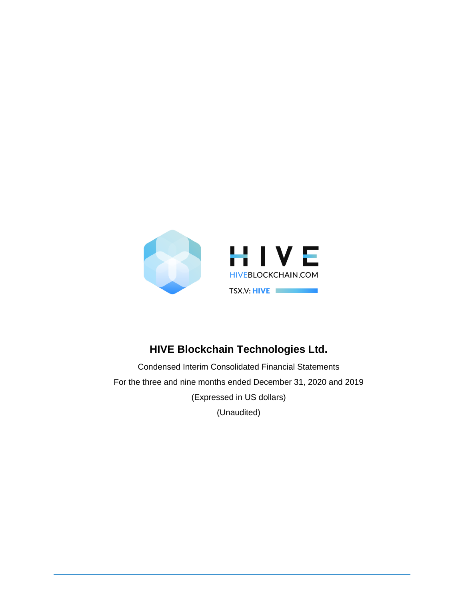

# **HIVE Blockchain Technologies Ltd.**

Condensed Interim Consolidated Financial Statements For the three and nine months ended December 31, 2020 and 2019 (Expressed in US dollars) (Unaudited)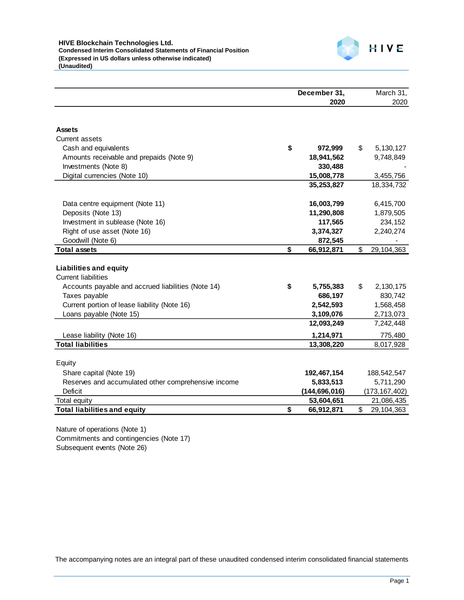

|                                                          | December 31,    | March 31,         |
|----------------------------------------------------------|-----------------|-------------------|
|                                                          | 2020            | 2020              |
|                                                          |                 |                   |
| <b>Assets</b><br><b>Current assets</b>                   |                 |                   |
| \$<br>Cash and equivalents                               | 972,999         | \$<br>5, 130, 127 |
| Amounts receivable and prepaids (Note 9)                 | 18,941,562      | 9,748,849         |
| Investments (Note 8)                                     | 330,488         |                   |
| Digital currencies (Note 10)                             | 15,008,778      | 3,455,756         |
|                                                          | 35,253,827      | 18,334,732        |
|                                                          |                 |                   |
| Data centre equipment (Note 11)                          | 16,003,799      | 6,415,700         |
| Deposits (Note 13)                                       | 11,290,808      | 1,879,505         |
| Investment in sublease (Note 16)                         | 117,565         | 234,152           |
| Right of use asset (Note 16)                             | 3,374,327       | 2,240,274         |
| Goodwill (Note 6)                                        | 872,545         |                   |
| \$<br><b>Total assets</b>                                | 66,912,871      | \$<br>29,104,363  |
|                                                          |                 |                   |
| <b>Liabilities and equity</b>                            |                 |                   |
| <b>Current liabilities</b>                               |                 |                   |
| \$<br>Accounts payable and accrued liabilities (Note 14) | 5,755,383       | \$<br>2,130,175   |
| Taxes payable                                            | 686,197         | 830,742           |
| Current portion of lease liability (Note 16)             | 2,542,593       | 1,568,458         |
| Loans payable (Note 15)                                  | 3,109,076       | 2,713,073         |
|                                                          | 12,093,249      | 7,242,448         |
| Lease liability (Note 16)                                | 1,214,971       | 775,480           |
| <b>Total liabilities</b>                                 | 13,308,220      | 8,017,928         |
|                                                          |                 |                   |
| Equity                                                   |                 |                   |
| Share capital (Note 19)                                  | 192,467,154     | 188,542,547       |
| Reserves and accumulated other comprehensive income      | 5,833,513       | 5,711,290         |
| Deficit                                                  | (144, 696, 016) | (173, 167, 402)   |
| Total equity                                             | 53,604,651      | 21,086,435        |
| <b>Total liabilities and equity</b><br>\$                | 66,912,871      | \$<br>29,104,363  |

Nature of operations (Note 1) Commitments and contingencies (Note 17) Subsequent events (Note 26)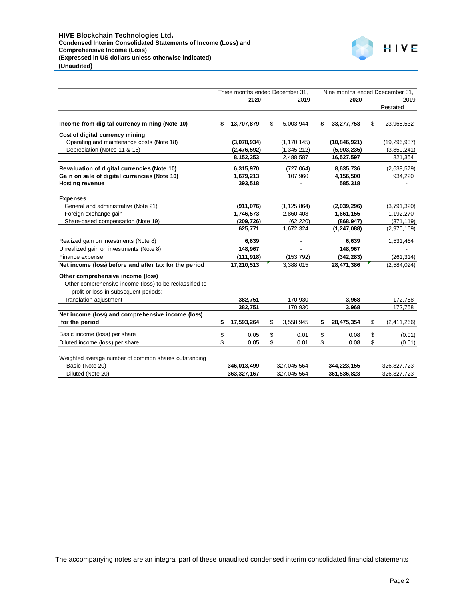

|                                                         | Three months ended December 31, |               |                 |    | Nine months ended Dcecember 31, |    |                |
|---------------------------------------------------------|---------------------------------|---------------|-----------------|----|---------------------------------|----|----------------|
|                                                         |                                 | 2020          | 2019            |    | 2020                            |    | 2019           |
|                                                         |                                 |               |                 |    |                                 |    | Restated       |
| Income from digital currency mining (Note 10)           | \$                              | 13,707,879    | \$<br>5,003,944 | S  | 33,277,753                      | \$ | 23,968,532     |
| Cost of digital currency mining                         |                                 |               |                 |    |                                 |    |                |
| Operating and maintenance costs (Note 18)               |                                 | (3,078,934)   | (1, 170, 145)   |    | (10, 846, 921)                  |    | (19, 296, 937) |
| Depreciation (Notes 11 & 16)                            |                                 | (2, 476, 592) | (1,345,212)     |    | (5,903,235)                     |    | (3,850,241)    |
|                                                         |                                 | 8,152,353     | 2,488,587       |    | 16,527,597                      |    | 821,354        |
| Revaluation of digital currencies (Note 10)             |                                 | 6,315,970     | (727,064)       |    | 8,635,736                       |    | (2,639,579)    |
| Gain on sale of digital currencies (Note 10)            |                                 | 1,679,213     | 107,960         |    | 4,156,500                       |    | 934,220        |
| <b>Hosting revenue</b>                                  |                                 | 393,518       |                 |    | 585,318                         |    |                |
| <b>Expenses</b>                                         |                                 |               |                 |    |                                 |    |                |
| General and administrative (Note 21)                    |                                 | (911, 076)    | (1, 125, 864)   |    | (2,039,296)                     |    | (3,791,320)    |
| Foreign exchange gain                                   |                                 | 1,746,573     | 2,860,408       |    | 1,661,155                       |    | 1,192,270      |
| Share-based compensation (Note 19)                      |                                 | (209, 726)    | (62, 220)       |    | (868, 947)                      |    | (371, 119)     |
|                                                         |                                 | 625,771       | 1,672,324       |    | (1, 247, 088)                   |    | (2,970,169)    |
| Realized gain on investments (Note 8)                   |                                 | 6,639         |                 |    | 6,639                           |    | 1,531,464      |
| Unrealized gain on investments (Note 8)                 |                                 | 148,967       |                 |    | 148,967                         |    |                |
| Finance expense                                         |                                 | (111, 918)    | (153, 792)      |    | (342, 283)                      |    | (261, 314)     |
| Net income (loss) before and after tax for the period   |                                 | 17,210,513    | 3,388,015       |    | 28,471,386                      |    | (2,584,024)    |
| Other comprehensive income (loss)                       |                                 |               |                 |    |                                 |    |                |
| Other comprehensive income (loss) to be reclassified to |                                 |               |                 |    |                                 |    |                |
| profit or loss in subsequent periods:                   |                                 |               |                 |    |                                 |    |                |
| Translation adjustment                                  |                                 | 382,751       | 170,930         |    | 3,968                           |    | 172,758        |
|                                                         |                                 | 382,751       | 170,930         |    | 3,968                           |    | 172,758        |
| Net income (loss) and comprehensive income (loss)       |                                 |               |                 |    |                                 |    |                |
| for the period                                          | \$                              | 17,593,264    | \$<br>3,558,945 | \$ | 28,475,354                      | \$ | (2,411,266)    |
| Basic income (loss) per share                           | \$                              | 0.05          | \$<br>0.01      | \$ | 0.08                            | \$ | (0.01)         |
| Diluted income (loss) per share                         | \$                              | 0.05          | \$<br>0.01      | \$ | 0.08                            | \$ | (0.01)         |
|                                                         |                                 |               |                 |    |                                 |    |                |
| Weighted average number of common shares outstanding    |                                 |               |                 |    |                                 |    |                |
| Basic (Note 20)                                         |                                 | 346,013,499   | 327,045,564     |    | 344,223,155                     |    | 326,827,723    |
| Diluted (Note 20)                                       |                                 | 363,327,167   | 327,045,564     |    | 361,536,823                     |    | 326,827,723    |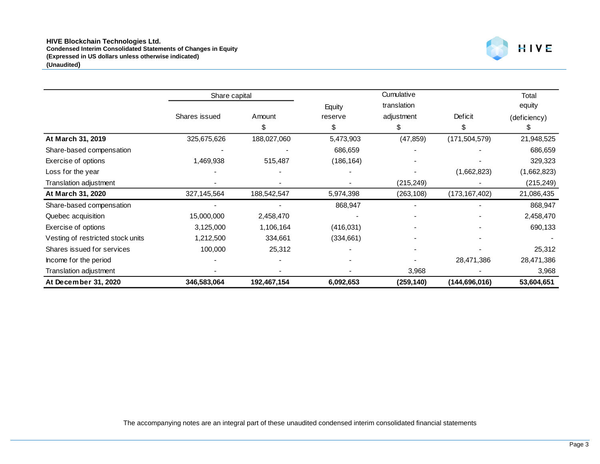

|                                   | Share capital |             | Cumulative |             |                 | Total        |
|-----------------------------------|---------------|-------------|------------|-------------|-----------------|--------------|
|                                   |               |             | Equity     | translation |                 | equity       |
|                                   | Shares issued | Amount      | reserve    | adjustment  | Deficit         | (deficiency) |
|                                   |               | \$.         | \$         | \$          | S               | S            |
| At March 31, 2019                 | 325,675,626   | 188,027,060 | 5,473,903  | (47, 859)   | (171, 504, 579) | 21,948,525   |
| Share-based compensation          |               |             | 686,659    |             |                 | 686,659      |
| Exercise of options               | 1,469,938     | 515,487     | (186, 164) |             |                 | 329,323      |
| Loss for the year                 |               |             |            |             | (1,662,823)     | (1,662,823)  |
| Translation adjustment            |               |             |            | (215, 249)  |                 | (215, 249)   |
| At March 31, 2020                 | 327,145,564   | 188,542,547 | 5,974,398  | (263, 108)  | (173, 167, 402) | 21,086,435   |
| Share-based compensation          |               |             | 868,947    |             |                 | 868,947      |
| Quebec acquisition                | 15,000,000    | 2,458,470   |            |             |                 | 2,458,470    |
| Exercise of options               | 3,125,000     | 1,106,164   | (416,031)  |             |                 | 690,133      |
| Vesting of restricted stock units | 1,212,500     | 334,661     | (334, 661) |             |                 |              |
| Shares issued for services        | 100,000       | 25,312      |            |             |                 | 25,312       |
| Income for the period             |               |             |            |             | 28,471,386      | 28,471,386   |
| Translation adjustment            |               |             |            | 3,968       |                 | 3,968        |
| At December 31, 2020              | 346,583,064   | 192,467,154 | 6,092,653  | (259, 140)  | (144,696,016)   | 53,604,651   |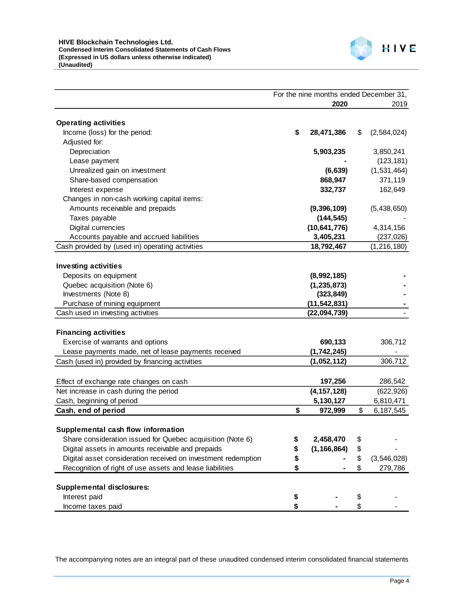

|                                                               | For the nine months ended December 31, |                |    |               |
|---------------------------------------------------------------|----------------------------------------|----------------|----|---------------|
|                                                               |                                        | 2020           |    | 2019          |
|                                                               |                                        |                |    |               |
| <b>Operating activities</b>                                   |                                        |                |    |               |
| Income (loss) for the period:                                 | \$                                     | 28,471,386     | \$ | (2,584,024)   |
| Adjusted for:                                                 |                                        |                |    |               |
| Depreciation                                                  |                                        | 5,903,235      |    | 3,850,241     |
| Lease payment                                                 |                                        |                |    | (123, 181)    |
| Unrealized gain on investment                                 |                                        | (6, 639)       |    | (1,531,464)   |
| Share-based compensation                                      |                                        | 868,947        |    | 371,119       |
| Interest expense                                              |                                        | 332,737        |    | 162,649       |
| Changes in non-cash working capital items:                    |                                        |                |    |               |
| Amounts receivable and prepaids                               |                                        | (9,396,109)    |    | (5,438,650)   |
| Taxes payable                                                 |                                        | (144, 545)     |    |               |
| Digital currencies                                            |                                        | (10, 641, 776) |    | 4,314,156     |
| Accounts payable and accrued liabilities                      |                                        | 3,405,231      |    | (237, 026)    |
| Cash provided by (used in) operating activities               |                                        | 18,792,467     |    | (1, 216, 180) |
|                                                               |                                        |                |    |               |
| <b>Investing activities</b>                                   |                                        |                |    |               |
| Deposits on equipment                                         |                                        | (8,992,185)    |    |               |
| Quebec acquisition (Note 6)                                   |                                        | (1, 235, 873)  |    |               |
| Investments (Note 8)                                          |                                        | (323, 849)     |    |               |
| Purchase of mining equipment                                  |                                        | (11, 542, 831) |    |               |
| Cash used in investing activities                             |                                        | (22,094,739)   |    |               |
|                                                               |                                        |                |    |               |
| <b>Financing activities</b>                                   |                                        |                |    |               |
| Exercise of warrants and options                              |                                        | 690,133        |    | 306,712       |
| Lease payments made, net of lease payments received           |                                        | (1,742,245)    |    |               |
| Cash (used in) provided by financing activities               |                                        | (1,052,112)    |    | 306,712       |
|                                                               |                                        |                |    |               |
| Effect of exchange rate changes on cash                       |                                        | 197,256        |    | 286,542       |
| Net increase in cash during the period                        |                                        | (4, 157, 128)  |    | (622, 926)    |
| Cash, beginning of period                                     |                                        | 5,130,127      |    | 6,810,471     |
| Cash, end of period                                           | \$                                     | 972,999        | \$ | 6,187,545     |
|                                                               |                                        |                |    |               |
| Supplemental cash flow information                            |                                        |                |    |               |
| Share consideration issued for Quebec acquisition (Note 6)    | \$                                     | 2,458,470      | \$ |               |
| Digital assets in amounts receivable and prepaids             | \$                                     | (1, 166, 864)  | \$ |               |
| Digital asset consideration received on investment redemption | \$                                     |                | \$ | (3,546,028)   |
| Recognition of right of use assets and lease liabilities      | \$                                     |                | \$ | 279,786       |
|                                                               |                                        |                |    |               |
| <b>Supplemental disclosures:</b>                              |                                        |                |    |               |
| Interest paid                                                 | \$                                     |                | \$ |               |
| Income taxes paid                                             | \$                                     |                | \$ |               |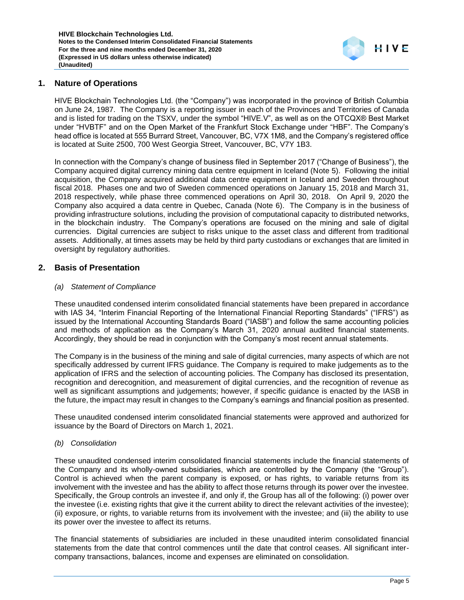

### **1. Nature of Operations**

HIVE Blockchain Technologies Ltd. (the "Company") was incorporated in the province of British Columbia on June 24, 1987. The Company is a reporting issuer in each of the Provinces and Territories of Canada and is listed for trading on the TSXV, under the symbol "HIVE.V", as well as on the OTCQX® Best Market under "HVBTF" and on the Open Market of the Frankfurt Stock Exchange under "HBF". The Company's head office is located at 555 Burrard Street, Vancouver, BC, V7X 1M8, and the Company's registered office is located at Suite 2500, 700 West Georgia Street, Vancouver, BC, V7Y 1B3.

In connection with the Company's change of business filed in September 2017 ("Change of Business"), the Company acquired digital currency mining data centre equipment in Iceland (Note 5). Following the initial acquisition, the Company acquired additional data centre equipment in Iceland and Sweden throughout fiscal 2018. Phases one and two of Sweden commenced operations on January 15, 2018 and March 31, 2018 respectively, while phase three commenced operations on April 30, 2018. On April 9, 2020 the Company also acquired a data centre in Quebec, Canada (Note 6). The Company is in the business of providing infrastructure solutions, including the provision of computational capacity to distributed networks, in the blockchain industry. The Company's operations are focused on the mining and sale of digital currencies. Digital currencies are subject to risks unique to the asset class and different from traditional assets. Additionally, at times assets may be held by third party custodians or exchanges that are limited in oversight by regulatory authorities.

### **2. Basis of Presentation**

### *(a) Statement of Compliance*

These unaudited condensed interim consolidated financial statements have been prepared in accordance with IAS 34, "Interim Financial Reporting of the International Financial Reporting Standards" ("IFRS") as issued by the International Accounting Standards Board ("IASB") and follow the same accounting policies and methods of application as the Company's March 31, 2020 annual audited financial statements. Accordingly, they should be read in conjunction with the Company's most recent annual statements.

The Company is in the business of the mining and sale of digital currencies, many aspects of which are not specifically addressed by current IFRS guidance. The Company is required to make judgements as to the application of IFRS and the selection of accounting policies. The Company has disclosed its presentation, recognition and derecognition, and measurement of digital currencies, and the recognition of revenue as well as significant assumptions and judgements; however, if specific guidance is enacted by the IASB in the future, the impact may result in changes to the Company's earnings and financial position as presented.

These unaudited condensed interim consolidated financial statements were approved and authorized for issuance by the Board of Directors on March 1, 2021.

#### *(b) Consolidation*

These unaudited condensed interim consolidated financial statements include the financial statements of the Company and its wholly-owned subsidiaries, which are controlled by the Company (the "Group"). Control is achieved when the parent company is exposed, or has rights, to variable returns from its involvement with the investee and has the ability to affect those returns through its power over the investee. Specifically, the Group controls an investee if, and only if, the Group has all of the following: (i) power over the investee (i.e. existing rights that give it the current ability to direct the relevant activities of the investee); (ii) exposure, or rights, to variable returns from its involvement with the investee; and (iii) the ability to use its power over the investee to affect its returns.

The financial statements of subsidiaries are included in these unaudited interim consolidated financial statements from the date that control commences until the date that control ceases. All significant intercompany transactions, balances, income and expenses are eliminated on consolidation.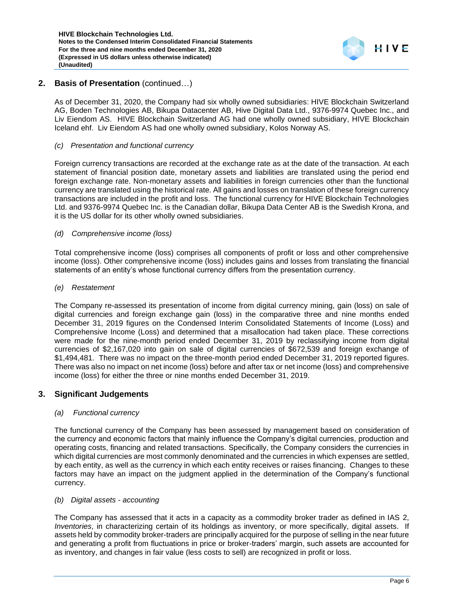

# **2. Basis of Presentation** (continued…)

As of December 31, 2020, the Company had six wholly owned subsidiaries: HIVE Blockchain Switzerland AG, Boden Technologies AB, Bikupa Datacenter AB, Hive Digital Data Ltd., 9376-9974 Quebec Inc., and Liv Eiendom AS. HIVE Blockchain Switzerland AG had one wholly owned subsidiary, HIVE Blockchain Iceland ehf. Liv Eiendom AS had one wholly owned subsidiary, Kolos Norway AS.

#### *(c) Presentation and functional currency*

Foreign currency transactions are recorded at the exchange rate as at the date of the transaction. At each statement of financial position date, monetary assets and liabilities are translated using the period end foreign exchange rate. Non-monetary assets and liabilities in foreign currencies other than the functional currency are translated using the historical rate. All gains and losses on translation of these foreign currency transactions are included in the profit and loss. The functional currency for HIVE Blockchain Technologies Ltd. and 9376-9974 Quebec Inc. is the Canadian dollar, Bikupa Data Center AB is the Swedish Krona, and it is the US dollar for its other wholly owned subsidiaries.

#### *(d) Comprehensive income (loss)*

Total comprehensive income (loss) comprises all components of profit or loss and other comprehensive income (loss). Other comprehensive income (loss) includes gains and losses from translating the financial statements of an entity's whose functional currency differs from the presentation currency.

#### *(e) Restatement*

The Company re-assessed its presentation of income from digital currency mining, gain (loss) on sale of digital currencies and foreign exchange gain (loss) in the comparative three and nine months ended December 31, 2019 figures on the Condensed Interim Consolidated Statements of Income (Loss) and Comprehensive Income (Loss) and determined that a misallocation had taken place. These corrections were made for the nine-month period ended December 31, 2019 by reclassifying income from digital currencies of \$2,167,020 into gain on sale of digital currencies of \$672,539 and foreign exchange of \$1,494,481. There was no impact on the three-month period ended December 31, 2019 reported figures. There was also no impact on net income (loss) before and after tax or net income (loss) and comprehensive income (loss) for either the three or nine months ended December 31, 2019.

### **3. Significant Judgements**

### *(a) Functional currency*

The functional currency of the Company has been assessed by management based on consideration of the currency and economic factors that mainly influence the Company's digital currencies, production and operating costs, financing and related transactions. Specifically, the Company considers the currencies in which digital currencies are most commonly denominated and the currencies in which expenses are settled, by each entity, as well as the currency in which each entity receives or raises financing. Changes to these factors may have an impact on the judgment applied in the determination of the Company's functional currency.

#### *(b) Digital assets - accounting*

The Company has assessed that it acts in a capacity as a commodity broker trader as defined in IAS 2, *Inventories*, in characterizing certain of its holdings as inventory, or more specifically, digital assets. If assets held by commodity broker-traders are principally acquired for the purpose of selling in the near future and generating a profit from fluctuations in price or broker-traders' margin, such assets are accounted for as inventory, and changes in fair value (less costs to sell) are recognized in profit or loss.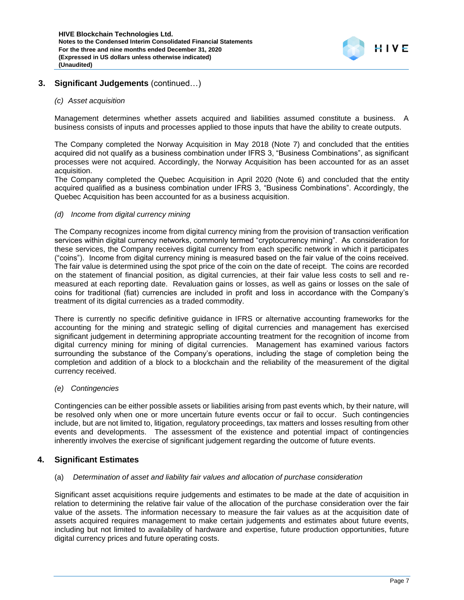

# **3. Significant Judgements** (continued…)

#### *(c) Asset acquisition*

Management determines whether assets acquired and liabilities assumed constitute a business. A business consists of inputs and processes applied to those inputs that have the ability to create outputs.

The Company completed the Norway Acquisition in May 2018 (Note 7) and concluded that the entities acquired did not qualify as a business combination under IFRS 3, "Business Combinations", as significant processes were not acquired. Accordingly, the Norway Acquisition has been accounted for as an asset acquisition.

The Company completed the Quebec Acquisition in April 2020 (Note 6) and concluded that the entity acquired qualified as a business combination under IFRS 3, "Business Combinations". Accordingly, the Quebec Acquisition has been accounted for as a business acquisition.

#### *(d) Income from digital currency mining*

The Company recognizes income from digital currency mining from the provision of transaction verification services within digital currency networks, commonly termed "cryptocurrency mining". As consideration for these services, the Company receives digital currency from each specific network in which it participates ("coins"). Income from digital currency mining is measured based on the fair value of the coins received. The fair value is determined using the spot price of the coin on the date of receipt. The coins are recorded on the statement of financial position, as digital currencies, at their fair value less costs to sell and remeasured at each reporting date. Revaluation gains or losses, as well as gains or losses on the sale of coins for traditional (fiat) currencies are included in profit and loss in accordance with the Company's treatment of its digital currencies as a traded commodity.

There is currently no specific definitive guidance in IFRS or alternative accounting frameworks for the accounting for the mining and strategic selling of digital currencies and management has exercised significant judgement in determining appropriate accounting treatment for the recognition of income from digital currency mining for mining of digital currencies. Management has examined various factors surrounding the substance of the Company's operations, including the stage of completion being the completion and addition of a block to a blockchain and the reliability of the measurement of the digital currency received.

#### *(e) Contingencies*

Contingencies can be either possible assets or liabilities arising from past events which, by their nature, will be resolved only when one or more uncertain future events occur or fail to occur. Such contingencies include, but are not limited to, litigation, regulatory proceedings, tax matters and losses resulting from other events and developments. The assessment of the existence and potential impact of contingencies inherently involves the exercise of significant judgement regarding the outcome of future events.

#### **4. Significant Estimates**

#### (a) *Determination of asset and liability fair values and allocation of purchase consideration*

Significant asset acquisitions require judgements and estimates to be made at the date of acquisition in relation to determining the relative fair value of the allocation of the purchase consideration over the fair value of the assets. The information necessary to measure the fair values as at the acquisition date of assets acquired requires management to make certain judgements and estimates about future events, including but not limited to availability of hardware and expertise, future production opportunities, future digital currency prices and future operating costs.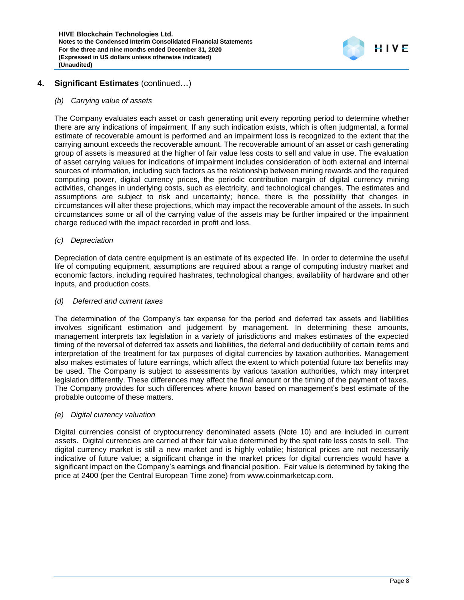

# **4. Significant Estimates** (continued…)

#### *(b) Carrying value of assets*

The Company evaluates each asset or cash generating unit every reporting period to determine whether there are any indications of impairment. If any such indication exists, which is often judgmental, a formal estimate of recoverable amount is performed and an impairment loss is recognized to the extent that the carrying amount exceeds the recoverable amount. The recoverable amount of an asset or cash generating group of assets is measured at the higher of fair value less costs to sell and value in use. The evaluation of asset carrying values for indications of impairment includes consideration of both external and internal sources of information, including such factors as the relationship between mining rewards and the required computing power, digital currency prices, the periodic contribution margin of digital currency mining activities, changes in underlying costs, such as electricity, and technological changes. The estimates and assumptions are subject to risk and uncertainty; hence, there is the possibility that changes in circumstances will alter these projections, which may impact the recoverable amount of the assets. In such circumstances some or all of the carrying value of the assets may be further impaired or the impairment charge reduced with the impact recorded in profit and loss.

#### *(c) Depreciation*

Depreciation of data centre equipment is an estimate of its expected life. In order to determine the useful life of computing equipment, assumptions are required about a range of computing industry market and economic factors, including required hashrates, technological changes, availability of hardware and other inputs, and production costs.

#### *(d) Deferred and current taxes*

The determination of the Company's tax expense for the period and deferred tax assets and liabilities involves significant estimation and judgement by management. In determining these amounts, management interprets tax legislation in a variety of jurisdictions and makes estimates of the expected timing of the reversal of deferred tax assets and liabilities, the deferral and deductibility of certain items and interpretation of the treatment for tax purposes of digital currencies by taxation authorities. Management also makes estimates of future earnings, which affect the extent to which potential future tax benefits may be used. The Company is subject to assessments by various taxation authorities, which may interpret legislation differently. These differences may affect the final amount or the timing of the payment of taxes. The Company provides for such differences where known based on management's best estimate of the probable outcome of these matters.

#### *(e) Digital currency valuation*

Digital currencies consist of cryptocurrency denominated assets (Note 10) and are included in current assets. Digital currencies are carried at their fair value determined by the spot rate less costs to sell. The digital currency market is still a new market and is highly volatile; historical prices are not necessarily indicative of future value; a significant change in the market prices for digital currencies would have a significant impact on the Company's earnings and financial position. Fair value is determined by taking the price at 2400 (per the Central European Time zone) from [www.coinmarketcap.com.](http://www.coinmarketcap.com/)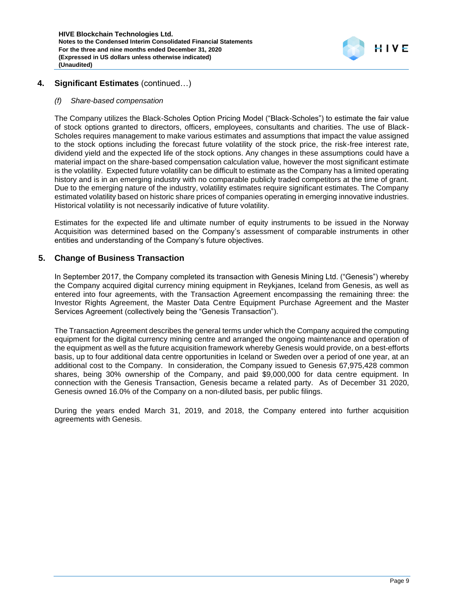

# **4. Significant Estimates** (continued…)

#### *(f) Share-based compensation*

The Company utilizes the Black-Scholes Option Pricing Model ("Black-Scholes") to estimate the fair value of stock options granted to directors, officers, employees, consultants and charities. The use of Black-Scholes requires management to make various estimates and assumptions that impact the value assigned to the stock options including the forecast future volatility of the stock price, the risk-free interest rate, dividend yield and the expected life of the stock options. Any changes in these assumptions could have a material impact on the share-based compensation calculation value, however the most significant estimate is the volatility. Expected future volatility can be difficult to estimate as the Company has a limited operating history and is in an emerging industry with no comparable publicly traded competitors at the time of grant. Due to the emerging nature of the industry, volatility estimates require significant estimates. The Company estimated volatility based on historic share prices of companies operating in emerging innovative industries. Historical volatility is not necessarily indicative of future volatility.

Estimates for the expected life and ultimate number of equity instruments to be issued in the Norway Acquisition was determined based on the Company's assessment of comparable instruments in other entities and understanding of the Company's future objectives.

### **5. Change of Business Transaction**

In September 2017, the Company completed its transaction with Genesis Mining Ltd. ("Genesis") whereby the Company acquired digital currency mining equipment in Reykjanes, Iceland from Genesis, as well as entered into four agreements, with the Transaction Agreement encompassing the remaining three: the Investor Rights Agreement, the Master Data Centre Equipment Purchase Agreement and the Master Services Agreement (collectively being the "Genesis Transaction").

The Transaction Agreement describes the general terms under which the Company acquired the computing equipment for the digital currency mining centre and arranged the ongoing maintenance and operation of the equipment as well as the future acquisition framework whereby Genesis would provide, on a best-efforts basis, up to four additional data centre opportunities in Iceland or Sweden over a period of one year, at an additional cost to the Company. In consideration, the Company issued to Genesis 67,975,428 common shares, being 30% ownership of the Company, and paid \$9,000,000 for data centre equipment. In connection with the Genesis Transaction, Genesis became a related party. As of December 31 2020, Genesis owned 16.0% of the Company on a non-diluted basis, per public filings.

During the years ended March 31, 2019, and 2018, the Company entered into further acquisition agreements with Genesis.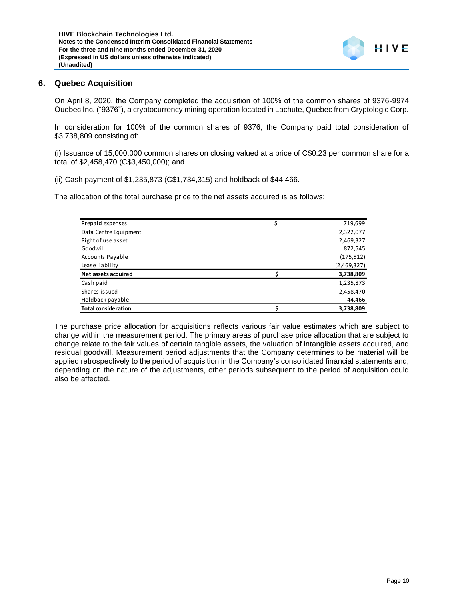

On April 8, 2020, the Company completed the acquisition of 100% of the common shares of 9376-9974 Quebec Inc. ("9376"), a cryptocurrency mining operation located in Lachute, Quebec from Cryptologic Corp.

In consideration for 100% of the common shares of 9376, the Company paid total consideration of \$3,738,809 consisting of:

(i) Issuance of 15,000,000 common shares on closing valued at a price of C\$0.23 per common share for a total of \$2,458,470 (C\$3,450,000); and

(ii) Cash payment of \$1,235,873 (C\$1,734,315) and holdback of \$44,466.

The allocation of the total purchase price to the net assets acquired is as follows:

| Prepaid expenses           | \$<br>719,699 |
|----------------------------|---------------|
| Data Centre Equipment      | 2,322,077     |
| Right of use asset         | 2,469,327     |
| Goodwill                   | 872,545       |
| <b>Accounts Payable</b>    | (175, 512)    |
| Lease liability            | (2,469,327)   |
| Net assets acquired        | 3,738,809     |
| Cash paid                  | 1,235,873     |
| Shares issued              | 2,458,470     |
| Holdback payable           | 44,466        |
| <b>Total consideration</b> | 3,738,809     |

The purchase price allocation for acquisitions reflects various fair value estimates which are subject to change within the measurement period. The primary areas of purchase price allocation that are subject to change relate to the fair values of certain tangible assets, the valuation of intangible assets acquired, and residual goodwill. Measurement period adjustments that the Company determines to be material will be applied retrospectively to the period of acquisition in the Company's consolidated financial statements and, depending on the nature of the adjustments, other periods subsequent to the period of acquisition could also be affected.

HIVE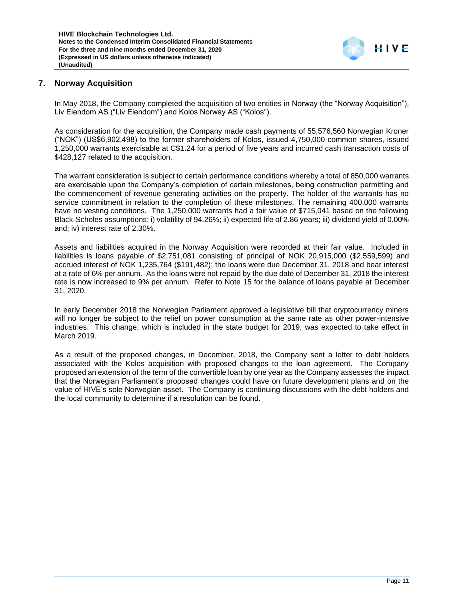

# **7. Norway Acquisition**

In May 2018, the Company completed the acquisition of two entities in Norway (the "Norway Acquisition"), Liv Eiendom AS ("Liv Eiendom") and Kolos Norway AS ("Kolos").

As consideration for the acquisition, the Company made cash payments of 55,576,560 Norwegian Kroner ("NOK") (US\$6,902,498) to the former shareholders of Kolos, issued 4,750,000 common shares, issued 1,250,000 warrants exercisable at C\$1.24 for a period of five years and incurred cash transaction costs of \$428,127 related to the acquisition.

The warrant consideration is subject to certain performance conditions whereby a total of 850,000 warrants are exercisable upon the Company's completion of certain milestones, being construction permitting and the commencement of revenue generating activities on the property. The holder of the warrants has no service commitment in relation to the completion of these milestones. The remaining 400,000 warrants have no vesting conditions. The 1,250,000 warrants had a fair value of \$715,041 based on the following Black-Scholes assumptions: i) volatility of 94.26%; ii) expected life of 2.86 years; iii) dividend yield of 0.00% and; iv) interest rate of 2.30%.

Assets and liabilities acquired in the Norway Acquisition were recorded at their fair value. Included in liabilities is loans payable of \$2,751,081 consisting of principal of NOK 20,915,000 (\$2,559,599) and accrued interest of NOK 1,235,764 (\$191,482); the loans were due December 31, 2018 and bear interest at a rate of 6% per annum. As the loans were not repaid by the due date of December 31, 2018 the interest rate is now increased to 9% per annum. Refer to Note 15 for the balance of loans payable at December 31, 2020.

In early December 2018 the Norwegian Parliament approved a legislative bill that cryptocurrency miners will no longer be subject to the relief on power consumption at the same rate as other power-intensive industries. This change, which is included in the state budget for 2019, was expected to take effect in March 2019.

As a result of the proposed changes, in December, 2018, the Company sent a letter to debt holders associated with the Kolos acquisition with proposed changes to the loan agreement. The Company proposed an extension of the term of the convertible loan by one year as the Company assesses the impact that the Norwegian Parliament's proposed changes could have on future development plans and on the value of HIVE's sole Norwegian asset. The Company is continuing discussions with the debt holders and the local community to determine if a resolution can be found.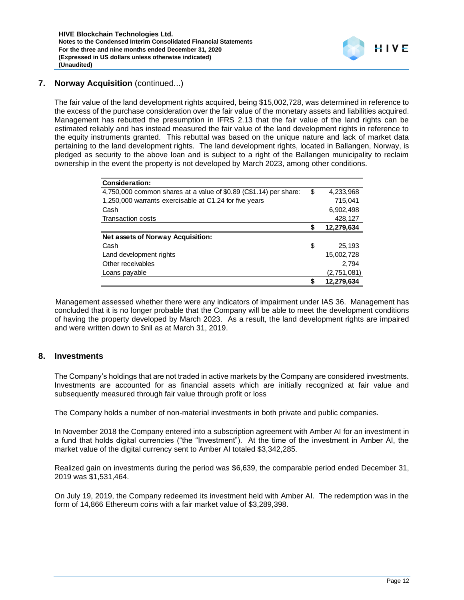# **7. Norway Acquisition** (continued...)

The fair value of the land development rights acquired, being \$15,002,728, was determined in reference to the excess of the purchase consideration over the fair value of the monetary assets and liabilities acquired. Management has rebutted the presumption in IFRS 2.13 that the fair value of the land rights can be estimated reliably and has instead measured the fair value of the land development rights in reference to the equity instruments granted. This rebuttal was based on the unique nature and lack of market data pertaining to the land development rights. The land development rights, located in Ballangen, Norway, is pledged as security to the above loan and is subject to a right of the Ballangen municipality to reclaim ownership in the event the property is not developed by March 2023, among other conditions.

| <b>Consideration:</b>                                             |    |             |
|-------------------------------------------------------------------|----|-------------|
| 4,750,000 common shares at a value of \$0.89 (C\$1.14) per share: | \$ | 4,233,968   |
| 1,250,000 warrants exercisable at C1.24 for five years            |    | 715,041     |
| Cash                                                              |    | 6,902,498   |
| <b>Transaction costs</b>                                          |    | 428,127     |
|                                                                   | S  | 12,279,634  |
| Net assets of Norway Acquisition:                                 |    |             |
| Cash                                                              | \$ | 25,193      |
| Land development rights                                           |    | 15,002,728  |
| Other receivables                                                 |    | 2.794       |
| Loans payable                                                     |    | (2,751,081) |
|                                                                   | S  | 12,279,634  |

Management assessed whether there were any indicators of impairment under IAS 36. Management has concluded that it is no longer probable that the Company will be able to meet the development conditions of having the property developed by March 2023. As a result, the land development rights are impaired and were written down to \$nil as at March 31, 2019.

### **8. Investments**

The Company's holdings that are not traded in active markets by the Company are considered investments. Investments are accounted for as financial assets which are initially recognized at fair value and subsequently measured through fair value through profit or loss

The Company holds a number of non-material investments in both private and public companies.

In November 2018 the Company entered into a subscription agreement with Amber AI for an investment in a fund that holds digital currencies ("the "Investment"). At the time of the investment in Amber AI, the market value of the digital currency sent to Amber AI totaled \$3,342,285.

Realized gain on investments during the period was \$6,639, the comparable period ended December 31, 2019 was \$1,531,464.

On July 19, 2019, the Company redeemed its investment held with Amber AI. The redemption was in the form of 14,866 Ethereum coins with a fair market value of \$3,289,398.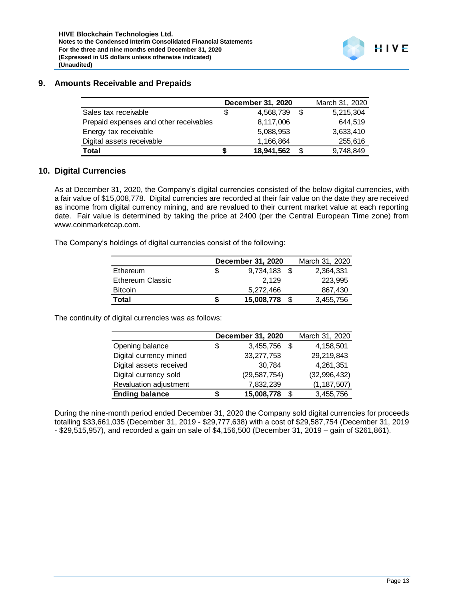# **9. Amounts Receivable and Prepaids**

|                                        |   | December 31, 2020 |      | March 31, 2020 |
|----------------------------------------|---|-------------------|------|----------------|
| Sales tax receivable                   | S | 4.568.739         | - \$ | 5,215,304      |
| Prepaid expenses and other receivables |   | 8,117,006         |      | 644.519        |
| Energy tax receivable                  |   | 5,088,953         |      | 3,633,410      |
| Digital assets receivable              |   | 1,166,864         |      | 255,616        |
| Total                                  |   | 18,941,562        |      | 9,748,849      |

### **10. Digital Currencies**

As at December 31, 2020, the Company's digital currencies consisted of the below digital currencies, with a fair value of \$15,008,778. Digital currencies are recorded at their fair value on the date they are received as income from digital currency mining, and are revalued to their current market value at each reporting date. Fair value is determined by taking the price at 2400 (per the Central European Time zone) from www.coinmarketcap.com.

The Company's holdings of digital currencies consist of the following:

|                  |   | December 31, 2020 |    | March 31, 2020 |
|------------------|---|-------------------|----|----------------|
| Ethereum         |   | 9,734,183         | -S | 2,364,331      |
| Ethereum Classic |   | 2.129             |    | 223.995        |
| <b>Bitcoin</b>   |   | 5.272.466         |    | 867,430        |
| Total            | S | 15,008,778        |    | 3,455,756      |
|                  |   |                   |    |                |

The continuity of digital currencies was as follows:

|                         | December 31, 2020  | March 31, 2020 |
|-------------------------|--------------------|----------------|
| Opening balance         | \$<br>3,455,756 \$ | 4,158,501      |
| Digital currency mined  | 33,277,753         | 29,219,843     |
| Digital assets received | 30,784             | 4,261,351      |
| Digital currency sold   | (29, 587, 754)     | (32, 996, 432) |
| Revaluation adjustment  | 7,832,239          | (1, 187, 507)  |
| <b>Ending balance</b>   | 15,008,778         | 3,455,756      |

During the nine-month period ended December 31, 2020 the Company sold digital currencies for proceeds totalling \$33,661,035 (December 31, 2019 - \$29,777,638) with a cost of \$29,587,754 (December 31, 2019 - \$29,515,957), and recorded a gain on sale of \$4,156,500 (December 31, 2019 – gain of \$261,861).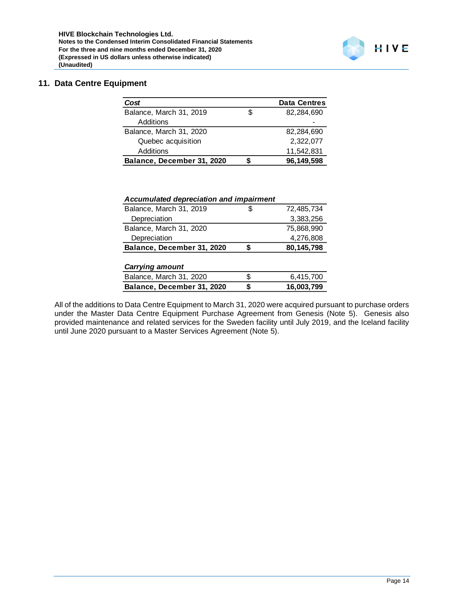# **11. Data Centre Equipment**

| Cost                       | <b>Data Centres</b> |
|----------------------------|---------------------|
| Balance, March 31, 2019    | \$<br>82.284.690    |
| Additions                  |                     |
| Balance, March 31, 2020    | 82.284.690          |
| Quebec acquisition         | 2,322,077           |
| Additions                  | 11,542,831          |
| Balance, December 31, 2020 | 96,149,598          |

| Accumulated depreciation and impairment |   |            |
|-----------------------------------------|---|------------|
| Balance, March 31, 2019                 | S | 72,485,734 |
| Depreciation                            |   | 3,383,256  |
| Balance, March 31, 2020                 |   | 75,868,990 |
| Depreciation                            |   | 4,276,808  |
| Balance, December 31, 2020              | S | 80,145,798 |
| <b>Carrying amount</b>                  |   |            |

| <b>Van ynny amvun</b>      |   |            |
|----------------------------|---|------------|
| Balance, March 31, 2020    | S | 6.415.700  |
| Balance, December 31, 2020 |   | 16,003,799 |
|                            |   |            |

All of the additions to Data Centre Equipment to March 31, 2020 were acquired pursuant to purchase orders under the Master Data Centre Equipment Purchase Agreement from Genesis (Note 5). Genesis also provided maintenance and related services for the Sweden facility until July 2019, and the Iceland facility until June 2020 pursuant to a Master Services Agreement (Note 5).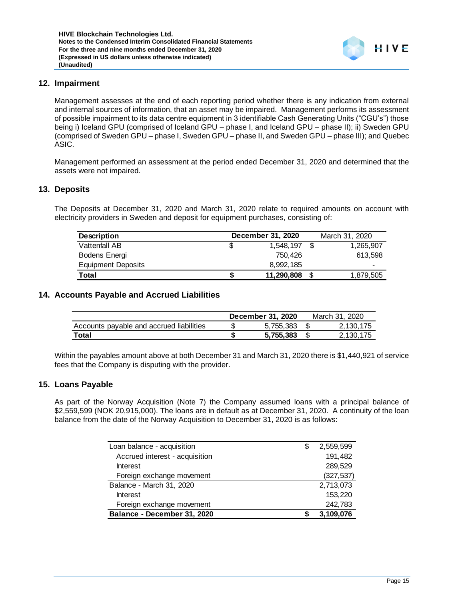### **12. Impairment**

Management assesses at the end of each reporting period whether there is any indication from external and internal sources of information, that an asset may be impaired. Management performs its assessment of possible impairment to its data centre equipment in 3 identifiable Cash Generating Units ("CGU's") those being i) Iceland GPU (comprised of Iceland GPU – phase I, and Iceland GPU – phase II); ii) Sweden GPU (comprised of Sweden GPU – phase I, Sweden GPU – phase II, and Sweden GPU – phase III); and Quebec ASIC.

Management performed an assessment at the period ended December 31, 2020 and determined that the assets were not impaired.

### **13. Deposits**

The Deposits at December 31, 2020 and March 31, 2020 relate to required amounts on account with electricity providers in Sweden and deposit for equipment purchases, consisting of:

| <b>Description</b>        | December 31, 2020 | March 31, 2020 |
|---------------------------|-------------------|----------------|
| Vattenfall AB             | 1.548.197 \$      | 1,265,907      |
| Bodens Energi             | 750.426           | 613.598        |
| <b>Equipment Deposits</b> | 8.992.185         | -              |
| Total                     | 11,290,808        | 1,879,505      |

#### **14. Accounts Payable and Accrued Liabilities**

|                                          | <b>December 31, 2020</b> | March 31, 2020 |
|------------------------------------------|--------------------------|----------------|
| Accounts payable and accrued liabilities | 5.755.383                | 2.130.175      |
| Total                                    | 5.755.383                | 2,130,175      |

Within the payables amount above at both December 31 and March 31, 2020 there is \$1,440,921 of service fees that the Company is disputing with the provider.

#### **15. Loans Payable**

As part of the Norway Acquisition (Note 7) the Company assumed loans with a principal balance of \$2,559,599 (NOK 20,915,000). The loans are in default as at December 31, 2020. A continuity of the loan balance from the date of the Norway Acquisition to December 31, 2020 is as follows:

| Loan balance - acquisition     | S | 2,559,599  |
|--------------------------------|---|------------|
| Accrued interest - acquisition |   | 191,482    |
| Interest                       |   | 289,529    |
| Foreign exchange movement      |   | (327, 537) |
| Balance - March 31, 2020       |   | 2,713,073  |
| Interest                       |   | 153,220    |
| Foreign exchange movement      |   | 242,783    |
| Balance - December 31, 2020    |   | 3,109,076  |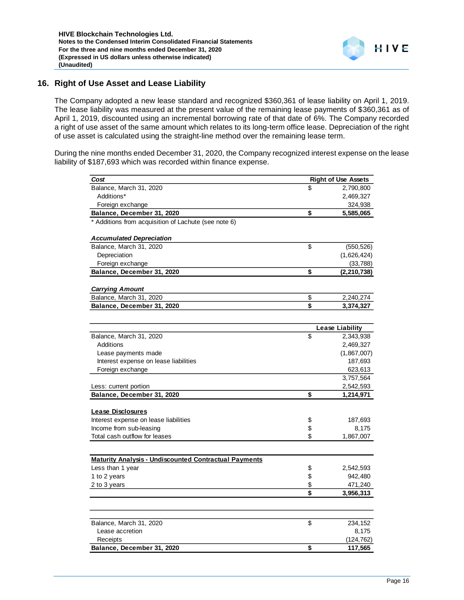# **16. Right of Use Asset and Lease Liability**

The Company adopted a new lease standard and recognized \$360,361 of lease liability on April 1, 2019. The lease liability was measured at the present value of the remaining lease payments of \$360,361 as of April 1, 2019, discounted using an incremental borrowing rate of that date of 6%. The Company recorded a right of use asset of the same amount which relates to its long-term office lease. Depreciation of the right of use asset is calculated using the straight-line method over the remaining lease term.

During the nine months ended December 31, 2020, the Company recognized interest expense on the lease liability of \$187,693 which was recorded within finance expense.

| Cost                                                         |                               | <b>Right of Use Assets</b> |
|--------------------------------------------------------------|-------------------------------|----------------------------|
| Balance, March 31, 2020                                      | \$                            | 2,790,800                  |
| Additions*                                                   |                               | 2,469,327                  |
| Foreign exchange                                             |                               | 324,938                    |
| Balance, December 31, 2020                                   | \$                            | 5,585,065                  |
| * Additions from acquisition of Lachute (see note 6)         |                               |                            |
| <b>Accumulated Depreciation</b>                              |                               |                            |
| Balance, March 31, 2020                                      | \$                            | (550, 526)                 |
| Depreciation                                                 |                               | (1,626,424)                |
| Foreign exchange                                             |                               | (33, 788)                  |
| Balance, December 31, 2020                                   | \$                            | (2, 210, 738)              |
|                                                              |                               |                            |
| <b>Carrying Amount</b>                                       |                               |                            |
| Balance, March 31, 2020                                      | \$<br>$\overline{\mathbf{s}}$ | 2,240,274                  |
| Balance, December 31, 2020                                   |                               | 3,374,327                  |
|                                                              |                               |                            |
|                                                              |                               | <b>Lease Liability</b>     |
| Balance, March 31, 2020                                      | \$                            | 2,343,938                  |
| Additions                                                    |                               | 2,469,327                  |
| Lease payments made                                          |                               | (1,867,007)                |
| Interest expense on lease liabilities                        |                               | 187,693                    |
| Foreign exchange                                             |                               | 623,613                    |
|                                                              |                               | 3,757,564                  |
| Less: current portion                                        |                               | 2,542,593                  |
| Balance, December 31, 2020                                   | \$                            | 1,214,971                  |
| <b>Lease Disclosures</b>                                     |                               |                            |
| Interest expense on lease liabilities                        | \$                            | 187,693                    |
| Income from sub-leasing                                      | \$                            | 8,175                      |
| Total cash outflow for leases                                | \$                            | 1,867,007                  |
|                                                              |                               |                            |
| <b>Maturity Analysis - Undiscounted Contractual Payments</b> |                               |                            |
| Less than 1 year                                             | \$                            | 2,542,593                  |
| 1 to 2 years                                                 | \$                            | 942,480                    |
| 2 to 3 years                                                 | \$                            | 471,240                    |
|                                                              | \$                            | 3,956,313                  |
|                                                              |                               |                            |
|                                                              |                               |                            |
| Balance, March 31, 2020                                      | \$                            | 234,152                    |
| Lease accretion                                              |                               | 8,175                      |
| Receipts                                                     |                               | (124,762)                  |
| Balance, December 31, 2020                                   | \$                            | 117,565                    |
|                                                              |                               |                            |

HIVE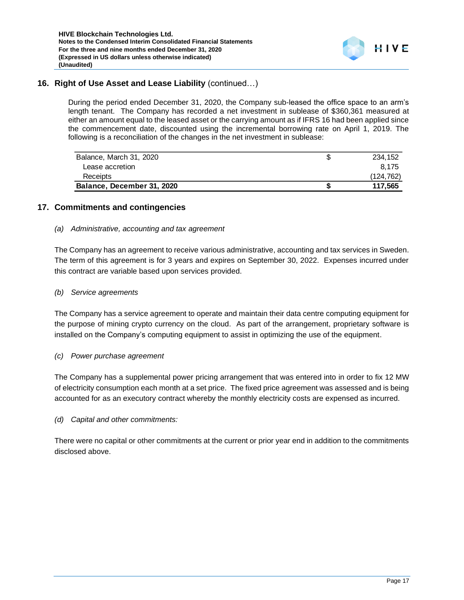# **16. Right of Use Asset and Lease Liability** (continued…)

During the period ended December 31, 2020, the Company sub-leased the office space to an arm's length tenant. The Company has recorded a net investment in sublease of \$360,361 measured at either an amount equal to the leased asset or the carrying amount as if IFRS 16 had been applied since the commencement date, discounted using the incremental borrowing rate on April 1, 2019. The following is a reconciliation of the changes in the net investment in sublease:

| Balance, March 31, 2020    | 234.152    |
|----------------------------|------------|
| Lease accretion            | 8.175      |
| Receipts                   | (124, 762) |
| Balance, December 31, 2020 | 117,565    |

# **17. Commitments and contingencies**

### *(a) Administrative, accounting and tax agreement*

The Company has an agreement to receive various administrative, accounting and tax services in Sweden. The term of this agreement is for 3 years and expires on September 30, 2022. Expenses incurred under this contract are variable based upon services provided.

### *(b) Service agreements*

The Company has a service agreement to operate and maintain their data centre computing equipment for the purpose of mining crypto currency on the cloud. As part of the arrangement, proprietary software is installed on the Company's computing equipment to assist in optimizing the use of the equipment.

### *(c) Power purchase agreement*

The Company has a supplemental power pricing arrangement that was entered into in order to fix 12 MW of electricity consumption each month at a set price. The fixed price agreement was assessed and is being accounted for as an executory contract whereby the monthly electricity costs are expensed as incurred.

### *(d) Capital and other commitments:*

There were no capital or other commitments at the current or prior year end in addition to the commitments disclosed above.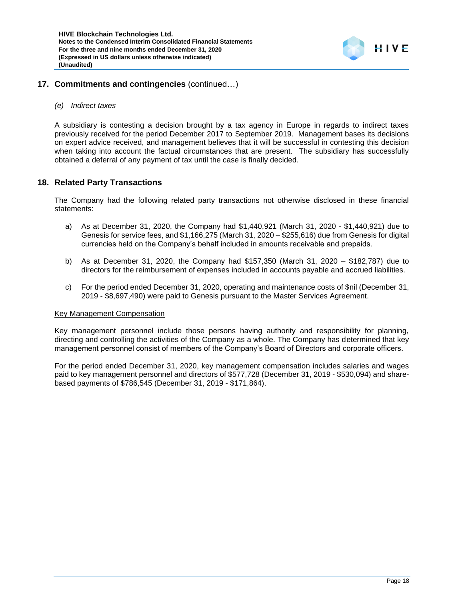

### **17. Commitments and contingencies** (continued…)

#### *(e) Indirect taxes*

A subsidiary is contesting a decision brought by a tax agency in Europe in regards to indirect taxes previously received for the period December 2017 to September 2019. Management bases its decisions on expert advice received, and management believes that it will be successful in contesting this decision when taking into account the factual circumstances that are present. The subsidiary has successfully obtained a deferral of any payment of tax until the case is finally decided.

### **18. Related Party Transactions**

The Company had the following related party transactions not otherwise disclosed in these financial statements:

- a) As at December 31, 2020, the Company had \$1,440,921 (March 31, 2020 \$1,440,921) due to Genesis for service fees, and \$1,166,275 (March 31, 2020 – \$255,616) due from Genesis for digital currencies held on the Company's behalf included in amounts receivable and prepaids.
- b) As at December 31, 2020, the Company had \$157,350 (March 31, 2020 \$182,787) due to directors for the reimbursement of expenses included in accounts payable and accrued liabilities.
- c) For the period ended December 31, 2020, operating and maintenance costs of \$nil (December 31, 2019 - \$8,697,490) were paid to Genesis pursuant to the Master Services Agreement.

#### Key Management Compensation

Key management personnel include those persons having authority and responsibility for planning, directing and controlling the activities of the Company as a whole. The Company has determined that key management personnel consist of members of the Company's Board of Directors and corporate officers.

For the period ended December 31, 2020, key management compensation includes salaries and wages paid to key management personnel and directors of \$577,728 (December 31, 2019 - \$530,094) and sharebased payments of \$786,545 (December 31, 2019 - \$171,864).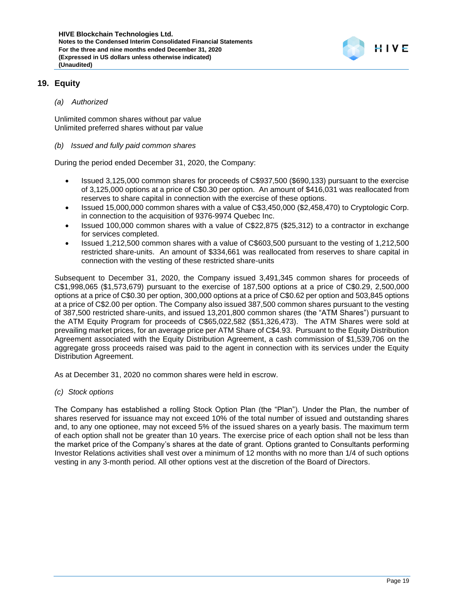

# **19. Equity**

### *(a) Authorized*

Unlimited common shares without par value Unlimited preferred shares without par value

### *(b) Issued and fully paid common shares*

During the period ended December 31, 2020, the Company:

- Issued 3,125,000 common shares for proceeds of C\$937,500 (\$690,133) pursuant to the exercise of 3,125,000 options at a price of C\$0.30 per option. An amount of \$416,031 was reallocated from reserves to share capital in connection with the exercise of these options.
- Issued 15,000,000 common shares with a value of C\$3,450,000 (\$2,458,470) to Cryptologic Corp. in connection to the acquisition of 9376-9974 Quebec Inc.
- Issued 100,000 common shares with a value of C\$22,875 (\$25,312) to a contractor in exchange for services completed.
- Issued 1,212,500 common shares with a value of C\$603,500 pursuant to the vesting of 1,212,500 restricted share-units. An amount of \$334,661 was reallocated from reserves to share capital in connection with the vesting of these restricted share-units

Subsequent to December 31, 2020, the Company issued 3,491,345 common shares for proceeds of C\$1,998,065 (\$1,573,679) pursuant to the exercise of 187,500 options at a price of C\$0.29, 2,500,000 options at a price of C\$0.30 per option, 300,000 options at a price of C\$0.62 per option and 503,845 options at a price of C\$2.00 per option. The Company also issued 387,500 common shares pursuant to the vesting of 387,500 restricted share-units, and issued 13,201,800 common shares (the "ATM Shares") pursuant to the ATM Equity Program for proceeds of C\$65,022,582 (\$51,326,473). The ATM Shares were sold at prevailing market prices, for an average price per ATM Share of C\$4.93. Pursuant to the Equity Distribution Agreement associated with the Equity Distribution Agreement, a cash commission of \$1,539,706 on the aggregate gross proceeds raised was paid to the agent in connection with its services under the Equity Distribution Agreement.

As at December 31, 2020 no common shares were held in escrow.

#### *(c) Stock options*

The Company has established a rolling Stock Option Plan (the "Plan"). Under the Plan, the number of shares reserved for issuance may not exceed 10% of the total number of issued and outstanding shares and, to any one optionee, may not exceed 5% of the issued shares on a yearly basis. The maximum term of each option shall not be greater than 10 years. The exercise price of each option shall not be less than the market price of the Company's shares at the date of grant. Options granted to Consultants performing Investor Relations activities shall vest over a minimum of 12 months with no more than 1/4 of such options vesting in any 3-month period. All other options vest at the discretion of the Board of Directors.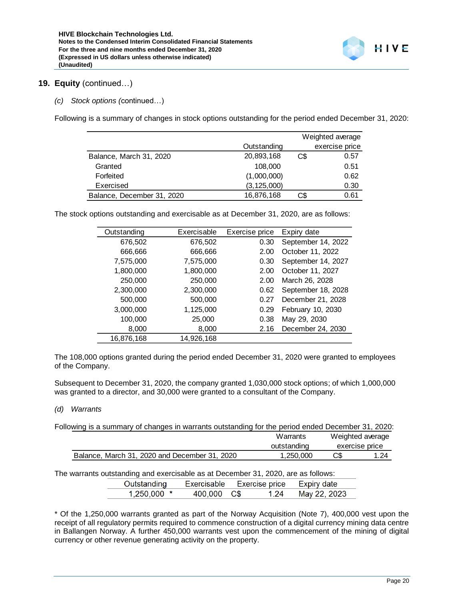### **19. Equity** (continued…)

*(c) Stock options (*continued…)

Following is a summary of changes in stock options outstanding for the period ended December 31, 2020:

|                            |               |     | Weighted average |
|----------------------------|---------------|-----|------------------|
|                            | Outstanding   |     | exercise price   |
| Balance, March 31, 2020    | 20,893,168    | C\$ | 0.57             |
| Granted                    | 108,000       |     | 0.51             |
| Forfeited                  | (1,000,000)   |     | 0.62             |
| Exercised                  | (3, 125, 000) |     | 0.30             |
| Balance, December 31, 2020 | 16,876,168    | C\$ | 0.61             |

The stock options outstanding and exercisable as at December 31, 2020, are as follows:

| Exercisable | Exercise price | Expiry date        |
|-------------|----------------|--------------------|
| 676,502     | 0.30           | September 14, 2022 |
| 666,666     | 2.00           | October 11, 2022   |
| 7,575,000   | 0.30           | September 14, 2027 |
| 1,800,000   | 2.00           | October 11, 2027   |
| 250,000     | 2.00           | March 26, 2028     |
| 2,300,000   | 0.62           | September 18, 2028 |
| 500,000     | 0.27           | December 21, 2028  |
| 1,125,000   | 0.29           | February 10, 2030  |
| 25,000      | 0.38           | May 29, 2030       |
| 8,000       | 2.16           | December 24, 2030  |
| 14,926,168  |                |                    |
|             |                |                    |

The 108,000 options granted during the period ended December 31, 2020 were granted to employees of the Company.

Subsequent to December 31, 2020, the company granted 1,030,000 stock options; of which 1,000,000 was granted to a director, and 30,000 were granted to a consultant of the Company.

#### *(d) Warrants*

| Following is a summary of changes in warrants outstanding for the period ended December 31, 2020: |             |     |                  |
|---------------------------------------------------------------------------------------------------|-------------|-----|------------------|
|                                                                                                   | Warrants    |     | Weighted average |
|                                                                                                   | outstanding |     | exercise price   |
| Balance, March 31, 2020 and December 31, 2020                                                     | 1.250.000   | C\$ | 1.24             |

The warrants outstanding and exercisable as at December 31, 2020, are as follows:

| Outstanding   | <b>Exercisable</b> | Exercise price | Expiry date  |  |
|---------------|--------------------|----------------|--------------|--|
| $1.250.000$ * | 400 000 C\$        |                | May 22, 2023 |  |

\* Of the 1,250,000 warrants granted as part of the Norway Acquisition (Note 7), 400,000 vest upon the receipt of all regulatory permits required to commence construction of a digital currency mining data centre in Ballangen Norway. A further 450,000 warrants vest upon the commencement of the mining of digital currency or other revenue generating activity on the property.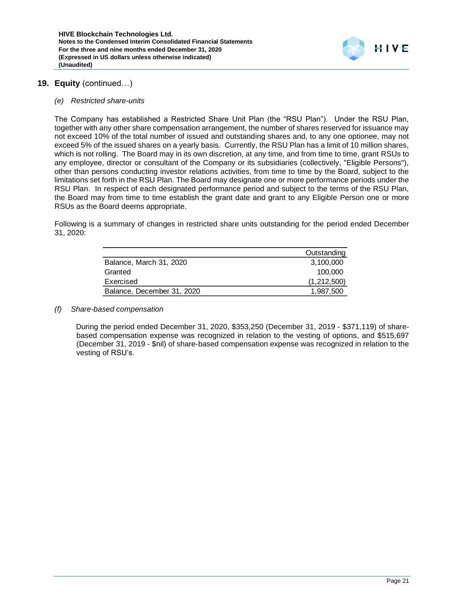

### **19. Equity** (continued…)

#### *(e) Restricted share-units*

The Company has established a Restricted Share Unit Plan (the "RSU Plan"). Under the RSU Plan, together with any other share compensation arrangement, the number of shares reserved for issuance may not exceed 10% of the total number of issued and outstanding shares and, to any one optionee, may not exceed 5% of the issued shares on a yearly basis. Currently, the RSU Plan has a limit of 10 million shares, which is not rolling. The Board may in its own discretion, at any time, and from time to time, grant RSUs to any employee, director or consultant of the Company or its subsidiaries (collectively, "Eligible Persons"), other than persons conducting investor relations activities, from time to time by the Board, subject to the limitations set forth in the RSU Plan. The Board may designate one or more performance periods under the RSU Plan. In respect of each designated performance period and subject to the terms of the RSU Plan, the Board may from time to time establish the grant date and grant to any Eligible Person one or more RSUs as the Board deems appropriate.

Following is a summary of changes in restricted share units outstanding for the period ended December 31, 2020:

|                            | Outstanding |
|----------------------------|-------------|
| Balance, March 31, 2020    | 3,100,000   |
| Granted                    | 100,000     |
| Exercised                  | (1,212,500) |
| Balance, December 31, 2020 | 1,987,500   |

#### *(f) Share-based compensation*

During the period ended December 31, 2020, \$353,250 (December 31, 2019 - \$371,119) of sharebased compensation expense was recognized in relation to the vesting of options, and \$515,697 (December 31, 2019 - \$nil) of share-based compensation expense was recognized in relation to the vesting of RSU's.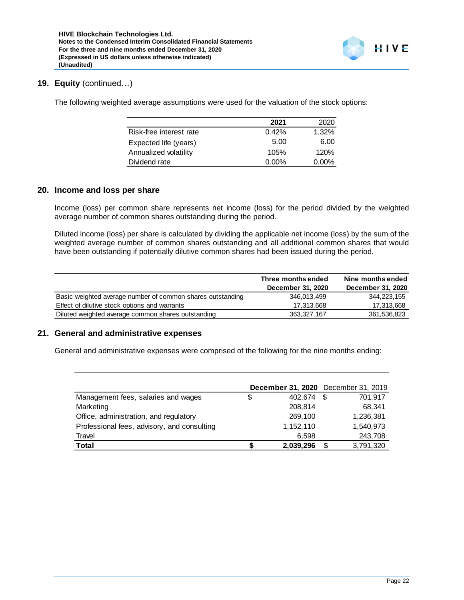### **19. Equity** (continued…)

The following weighted average assumptions were used for the valuation of the stock options:

|                         | 2021     | 2020  |
|-------------------------|----------|-------|
| Risk-free interest rate | 0.42%    | 1.32% |
| Expected life (years)   | 5.00     | 6.00  |
| Annualized volatility   | 105%     | 120%  |
| Dividend rate           | $0.00\%$ | 0.00% |

### **20. Income and loss per share**

Income (loss) per common share represents net income (loss) for the period divided by the weighted average number of common shares outstanding during the period.

Diluted income (loss) per share is calculated by dividing the applicable net income (loss) by the sum of the weighted average number of common shares outstanding and all additional common shares that would have been outstanding if potentially dilutive common shares had been issued during the period.

|                                                            | Three months ended<br>December 31, 2020 | Nine months ended<br>December 31, 2020 |
|------------------------------------------------------------|-----------------------------------------|----------------------------------------|
| Basic weighted average number of common shares outstanding | 346.013.499                             | 344, 223, 155                          |
| Effect of dilutive stock options and warrants              | 17.313.668                              | 17,313,668                             |
| Diluted weighted average common shares outstanding         | 363.327.167                             | 361,536,823                            |

### **21. General and administrative expenses**

General and administrative expenses were comprised of the following for the nine months ending:

|                                             | December 31, 2020 December 31, 2019 |      |           |
|---------------------------------------------|-------------------------------------|------|-----------|
| Management fees, salaries and wages         | \$<br>402.674                       | - \$ | 701,917   |
| Marketing                                   | 208,814                             |      | 68,341    |
| Office, administration, and regulatory      | 269,100                             |      | 1,236,381 |
| Professional fees, advisory, and consulting | 1,152,110                           |      | 1,540,973 |
| Travel                                      | 6.598                               |      | 243,708   |
| <b>Total</b>                                | 2,039,296                           | S    | 3,791,320 |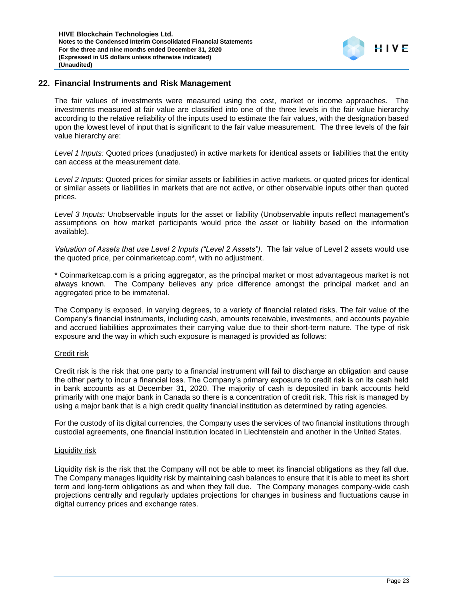# **22. Financial Instruments and Risk Management**

The fair values of investments were measured using the cost, market or income approaches. The investments measured at fair value are classified into one of the three levels in the fair value hierarchy according to the relative reliability of the inputs used to estimate the fair values, with the designation based upon the lowest level of input that is significant to the fair value measurement. The three levels of the fair value hierarchy are:

*Level 1 Inputs:* Quoted prices (unadjusted) in active markets for identical assets or liabilities that the entity can access at the measurement date.

*Level 2 Inputs:* Quoted prices for similar assets or liabilities in active markets, or quoted prices for identical or similar assets or liabilities in markets that are not active, or other observable inputs other than quoted prices.

*Level 3 Inputs:* Unobservable inputs for the asset or liability (Unobservable inputs reflect management's assumptions on how market participants would price the asset or liability based on the information available).

*Valuation of Assets that use Level 2 Inputs ("Level 2 Assets")*. The fair value of Level 2 assets would use the quoted price, per coinmarketcap.com\*, with no adjustment.

\* Coinmarketcap.com is a pricing aggregator, as the principal market or most advantageous market is not always known. The Company believes any price difference amongst the principal market and an aggregated price to be immaterial.

The Company is exposed, in varying degrees, to a variety of financial related risks. The fair value of the Company's financial instruments, including cash, amounts receivable, investments, and accounts payable and accrued liabilities approximates their carrying value due to their short-term nature. The type of risk exposure and the way in which such exposure is managed is provided as follows:

#### Credit risk

Credit risk is the risk that one party to a financial instrument will fail to discharge an obligation and cause the other party to incur a financial loss. The Company's primary exposure to credit risk is on its cash held in bank accounts as at December 31, 2020. The majority of cash is deposited in bank accounts held primarily with one major bank in Canada so there is a concentration of credit risk. This risk is managed by using a major bank that is a high credit quality financial institution as determined by rating agencies.

For the custody of its digital currencies, the Company uses the services of two financial institutions through custodial agreements, one financial institution located in Liechtenstein and another in the United States.

#### Liquidity risk

Liquidity risk is the risk that the Company will not be able to meet its financial obligations as they fall due. The Company manages liquidity risk by maintaining cash balances to ensure that it is able to meet its short term and long-term obligations as and when they fall due. The Company manages company-wide cash projections centrally and regularly updates projections for changes in business and fluctuations cause in digital currency prices and exchange rates.

HIVE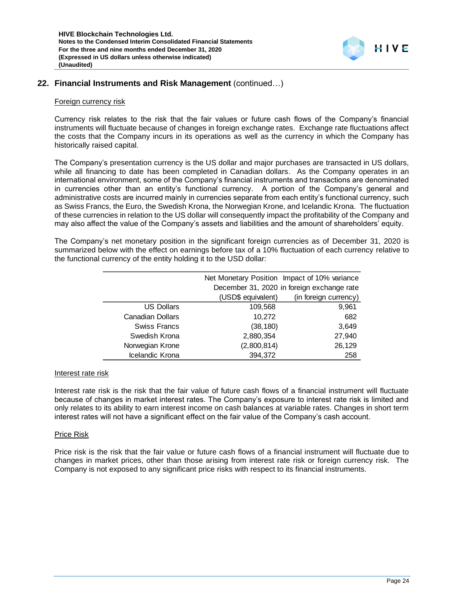

### **22. Financial Instruments and Risk Management** (continued…)

#### Foreign currency risk

Currency risk relates to the risk that the fair values or future cash flows of the Company's financial instruments will fluctuate because of changes in foreign exchange rates. Exchange rate fluctuations affect the costs that the Company incurs in its operations as well as the currency in which the Company has historically raised capital.

The Company's presentation currency is the US dollar and major purchases are transacted in US dollars, while all financing to date has been completed in Canadian dollars. As the Company operates in an international environment, some of the Company's financial instruments and transactions are denominated in currencies other than an entity's functional currency. A portion of the Company's general and administrative costs are incurred mainly in currencies separate from each entity's functional currency, such as Swiss Francs, the Euro, the Swedish Krona, the Norwegian Krone, and Icelandic Krona. The fluctuation of these currencies in relation to the US dollar will consequently impact the profitability of the Company and may also affect the value of the Company's assets and liabilities and the amount of shareholders' equity.

The Company's net monetary position in the significant foreign currencies as of December 31, 2020 is summarized below with the effect on earnings before tax of a 10% fluctuation of each currency relative to the functional currency of the entity holding it to the USD dollar:

|                         |                    | Net Monetary Position Impact of 10% variance |
|-------------------------|--------------------|----------------------------------------------|
|                         |                    | December 31, 2020 in foreign exchange rate   |
|                         | (USD\$ equivalent) | (in foreign currency)                        |
| <b>US Dollars</b>       | 109,568            | 9,961                                        |
| <b>Canadian Dollars</b> | 10,272             | 682                                          |
| <b>Swiss Francs</b>     | (38, 180)          | 3,649                                        |
| Swedish Krona           | 2,880,354          | 27,940                                       |
| Norwegian Krone         | (2,800,814)        | 26,129                                       |
| Icelandic Krona         | 394,372            | 258                                          |

#### Interest rate risk

Interest rate risk is the risk that the fair value of future cash flows of a financial instrument will fluctuate because of changes in market interest rates. The Company's exposure to interest rate risk is limited and only relates to its ability to earn interest income on cash balances at variable rates. Changes in short term interest rates will not have a significant effect on the fair value of the Company's cash account.

#### Price Risk

Price risk is the risk that the fair value or future cash flows of a financial instrument will fluctuate due to changes in market prices, other than those arising from interest rate risk or foreign currency risk. The Company is not exposed to any significant price risks with respect to its financial instruments.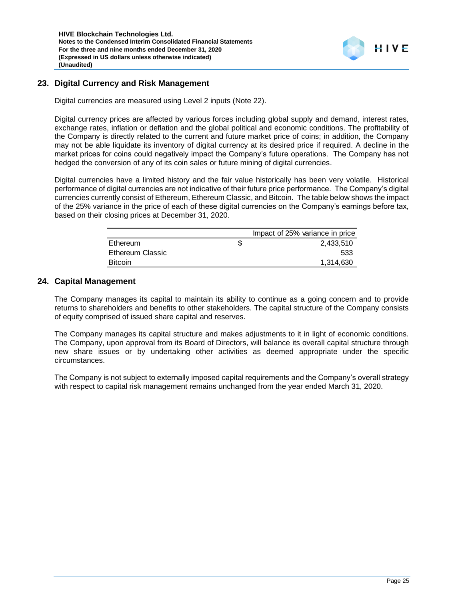# **23. Digital Currency and Risk Management**

Digital currencies are measured using Level 2 inputs (Note 22).

Digital currency prices are affected by various forces including global supply and demand, interest rates, exchange rates, inflation or deflation and the global political and economic conditions. The profitability of the Company is directly related to the current and future market price of coins; in addition, the Company may not be able liquidate its inventory of digital currency at its desired price if required. A decline in the market prices for coins could negatively impact the Company's future operations. The Company has not hedged the conversion of any of its coin sales or future mining of digital currencies.

Digital currencies have a limited history and the fair value historically has been very volatile. Historical performance of digital currencies are not indicative of their future price performance. The Company's digital currencies currently consist of Ethereum, Ethereum Classic, and Bitcoin. The table below shows the impact of the 25% variance in the price of each of these digital currencies on the Company's earnings before tax, based on their closing prices at December 31, 2020.

|                  | Impact of 25% variance in price |
|------------------|---------------------------------|
| Ethereum         | 2.433.510                       |
| Ethereum Classic | 533                             |
| <b>Bitcoin</b>   | 1,314,630                       |

#### **24. Capital Management**

The Company manages its capital to maintain its ability to continue as a going concern and to provide returns to shareholders and benefits to other stakeholders. The capital structure of the Company consists of equity comprised of issued share capital and reserves.

The Company manages its capital structure and makes adjustments to it in light of economic conditions. The Company, upon approval from its Board of Directors, will balance its overall capital structure through new share issues or by undertaking other activities as deemed appropriate under the specific circumstances.

The Company is not subject to externally imposed capital requirements and the Company's overall strategy with respect to capital risk management remains unchanged from the year ended March 31, 2020.

HIVE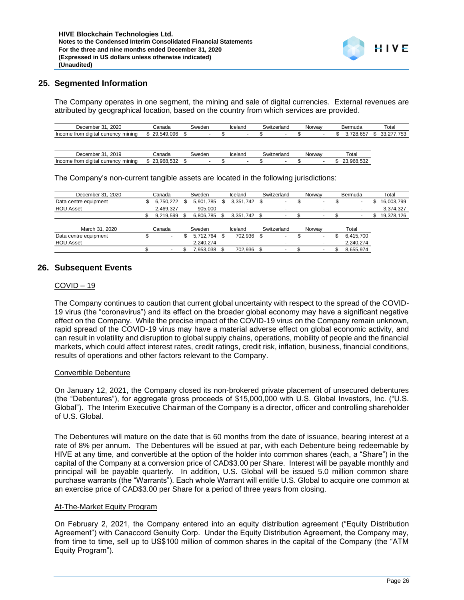### **25. Segmented Information**

The Company operates in one segment, the mining and sale of digital currencies. External revenues are attributed by geographical location, based on the country from which services are provided.

| 2020<br>December 31                 | Canada     | Sweden |  | Iceland |  | Switzerland |  | Norway |  | Bermuda  | Total |                 |  |
|-------------------------------------|------------|--------|--|---------|--|-------------|--|--------|--|----------|-------|-----------------|--|
| Income from digital currency mining | 29.549.096 |        |  |         |  |             |  |        |  | .728.657 |       | 00.077<br>ں ن ، |  |
|                                     |            |        |  |         |  |             |  |        |  |          |       |                 |  |
|                                     |            |        |  |         |  |             |  |        |  |          |       |                 |  |

| 0010<br>าpei<br>고                                            | `onod:<br>idu                             | ∵"eden | alono<br>eidi iu | wit | zerlano | <b>Nonway</b> | Total                         |  |  |  |
|--------------------------------------------------------------|-------------------------------------------|--------|------------------|-----|---------|---------------|-------------------------------|--|--|--|
| minino<br>diar<br><b>Incom</b><br>fror<br>'ital<br>urrency : | $-0$<br>- OGC<br>$\overline{\phantom{a}}$ |        |                  |     |         |               | $-0o$<br>$\sim$<br>nr<br>1.31 |  |  |  |

| December 31, 2020                                                                                                   | Canada          | Sweden          | Iceland         | Switzerland | Norway | Bermuda          | Total            |
|---------------------------------------------------------------------------------------------------------------------|-----------------|-----------------|-----------------|-------------|--------|------------------|------------------|
| Income from digital currency mining                                                                                 | \$29,549,096    | \$              | \$              | \$          | \$     | \$<br>3,728,657  | \$<br>33,277,753 |
|                                                                                                                     |                 |                 |                 |             |        |                  |                  |
| December 31, 2019                                                                                                   | Canada          | Sweden          | Iceland         | Switzerland | Norway | Total            |                  |
| Income from digital currency mining                                                                                 | \$23,968,532    | \$              | \$              | \$          | \$     | \$<br>23,968,532 |                  |
|                                                                                                                     |                 |                 |                 |             |        |                  |                  |
| The Company's non-current tangible assets are located in the following jurisdictions:                               |                 |                 |                 |             |        |                  |                  |
|                                                                                                                     |                 |                 |                 |             |        |                  |                  |
| December 31, 2020                                                                                                   | Canada          | Sweden          | Iceland         | Switzerland | Norway | Bermuda          | Total            |
| Data centre equipment                                                                                               | \$<br>6,750,272 | \$<br>5,901,785 | \$<br>3,351,742 | \$          | \$     | \$               | \$<br>16,003,799 |
| ROU Asset                                                                                                           | 2,469,327       | 905,000         |                 |             |        |                  | 3,374,327        |
|                                                                                                                     | \$<br>9,219,599 | \$<br>6,806,785 | \$<br>3,351,742 | \$<br>ä,    | \$     | \$               | \$<br>19,378,126 |
| March 31, 2020                                                                                                      | Canada          | Sweden          | Iceland         | Switzerland | Norway | Total            |                  |
| Data centre equipment                                                                                               | \$              | \$<br>5,712,764 | \$<br>702,936   | \$          | \$     | \$<br>6,415,700  |                  |
| ROU Asset                                                                                                           |                 | 2,240,274       |                 |             |        | 2,240,274        |                  |
|                                                                                                                     | \$<br>÷,        | \$<br>7,953,038 | \$<br>702,936   | \$<br>ä,    | \$     | \$<br>8,655,974  |                  |
|                                                                                                                     |                 |                 |                 |             |        |                  |                  |
| <b>Subsequent Events</b>                                                                                            |                 |                 |                 |             |        |                  |                  |
|                                                                                                                     |                 |                 |                 |             |        |                  |                  |
| <u>COVID – 19</u>                                                                                                   |                 |                 |                 |             |        |                  |                  |
|                                                                                                                     |                 |                 |                 |             |        |                  |                  |
|                                                                                                                     |                 |                 |                 |             |        |                  |                  |
| The Company continues to caution that current global uncertainty with respect to the spread of the COVID-           |                 |                 |                 |             |        |                  |                  |
| 19 virus (the "coronavirus") and its effect on the broader global economy may have a significant negative           |                 |                 |                 |             |        |                  |                  |
| effect on the Company. While the precise impact of the COVID-19 virus on the Company remain unknown,                |                 |                 |                 |             |        |                  |                  |
|                                                                                                                     |                 |                 |                 |             |        |                  |                  |
| rapid spread of the COVID-19 virus may have a material adverse effect on global economic activity, and              |                 |                 |                 |             |        |                  |                  |
| can result in volatility and disruption to global supply chains, operations, mobility of people and the financial   |                 |                 |                 |             |        |                  |                  |
| markets, which could affect interest rates, credit ratings, credit risk, inflation, business, financial conditions, |                 |                 |                 |             |        |                  |                  |
| results of operations and other factors relevant to the Company.                                                    |                 |                 |                 |             |        |                  |                  |
|                                                                                                                     |                 |                 |                 |             |        |                  |                  |
| <b>Convertible Debenture</b>                                                                                        |                 |                 |                 |             |        |                  |                  |
|                                                                                                                     |                 |                 |                 |             |        |                  |                  |
| On January 12, 2021, the Company closed its non-brokered private placement of unsecured debentures                  |                 |                 |                 |             |        |                  |                  |
| (the "Debentures"), for aggregate gross proceeds of \$15,000,000 with U.S. Global Investors, Inc. ("U.S.            |                 |                 |                 |             |        |                  |                  |
| Global"). The Interim Executive Chairman of the Company is a director, officer and controlling shareholder          |                 |                 |                 |             |        |                  |                  |
| of U.S. Global.                                                                                                     |                 |                 |                 |             |        |                  |                  |
|                                                                                                                     |                 |                 |                 |             |        |                  |                  |
|                                                                                                                     |                 |                 |                 |             |        |                  |                  |
| The Debentures will mature on the date that is 60 months from the date of issuance, bearing interest at a           |                 |                 |                 |             |        |                  |                  |
| rate of 8% per annum. The Debentures will be issued at par, with each Debenture being redeemable by                 |                 |                 |                 |             |        |                  |                  |
| HIVE at any time, and convertible at the option of the holder into common shares (each, a "Share") in the           |                 |                 |                 |             |        |                  |                  |
|                                                                                                                     |                 |                 |                 |             |        |                  |                  |
| capital of the Company at a conversion price of CAD\$3.00 per Share. Interest will be payable monthly and           |                 |                 |                 |             |        |                  |                  |
| principal will be payable quarterly. In addition, U.S. Global will be issued 5.0 million common share               |                 |                 |                 |             |        |                  |                  |
| purchase warrants (the "Warrants"). Each whole Warrant will entitle U.S. Global to acquire one common at            |                 |                 |                 |             |        |                  |                  |
| an exercise price of CAD\$3.00 per Share for a period of three years from closing.                                  |                 |                 |                 |             |        |                  |                  |
|                                                                                                                     |                 |                 |                 |             |        |                  |                  |
| At-The-Market Equity Program                                                                                        |                 |                 |                 |             |        |                  |                  |
| On February 2, 2021, the Company entered into an equity distribution agreement ("Equity Distribution                |                 |                 |                 |             |        |                  |                  |
| Agreement") with Canaccord Genuity Corp. Under the Equity Distribution Agreement, the Company may,                  |                 |                 |                 |             |        |                  |                  |
| from time to time, sell up to US\$100 million of common shares in the capital of the Company (the "ATM              |                 |                 |                 |             |        |                  |                  |
|                                                                                                                     |                 |                 |                 |             |        |                  |                  |
| Equity Program").                                                                                                   |                 |                 |                 |             |        |                  |                  |

### **26. Subsequent Events**

#### $COVID - 19$

#### Convertible Debenture

#### At-The-Market Equity Program